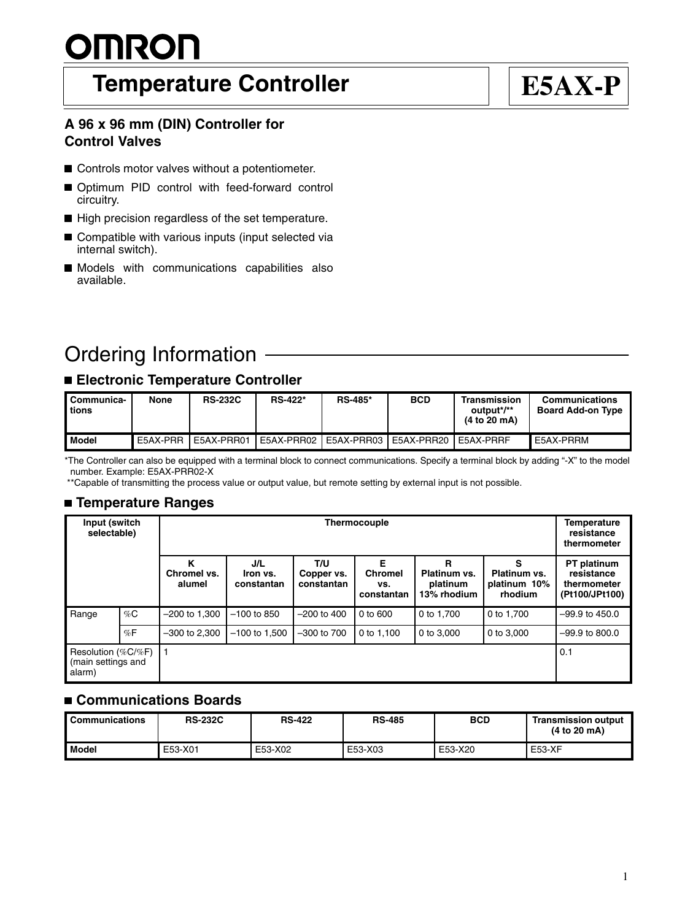# <u>OMRON</u>

## **Temperature Controller E5AX-P**

## **A 96 x 96 mm (DIN) Controller for Control Valves**

- Controls motor valves without a potentiometer.
- Optimum PID control with feed-forward control circuitry.
- High precision regardless of the set temperature.
- Compatible with various inputs (input selected via internal switch).
- **Models** with communications capabilities also available.

## Ordering Information

## **Electronic Temperature Controller**

| l Communica-<br>tions | None     | <b>RS-232C</b> | <b>RS-422*</b> | <b>RS-485*</b> | <b>BCD</b>            | Transmission<br>output*/**<br>(4 to 20 mA) | <b>Communications</b><br><b>Board Add-on Type</b> |
|-----------------------|----------|----------------|----------------|----------------|-----------------------|--------------------------------------------|---------------------------------------------------|
| Model                 | E5AX-PRR | E5AX-PRR01     | E5AX-PRR02     | E5AX-PRR03     | E5AX-PRR20 LE5AX-PRRF |                                            | E5AX-PRRM                                         |

\*The Controller can also be equipped with a terminal block to connect communications. Specify a terminal block by adding "-X" to the model number. Example: E5AX-PRR02-X

\*\*Capable of transmitting the process value or output value, but remote setting by external input is not possible.

## **Temperature Ranges**

| Input (switch<br>selectable)                       |       |                            | <b>Temperature</b><br>resistance<br>thermometer |                                 |                                          |                                              |                                              |                                                            |
|----------------------------------------------------|-------|----------------------------|-------------------------------------------------|---------------------------------|------------------------------------------|----------------------------------------------|----------------------------------------------|------------------------------------------------------------|
|                                                    |       | κ<br>Chromel vs.<br>alumel | J/L<br>Iron vs.<br>constantan                   | T/U<br>Copper vs.<br>constantan | Е<br><b>Chromel</b><br>vs.<br>constantan | R<br>Platinum vs.<br>platinum<br>13% rhodium | S<br>Platinum vs.<br>platinum 10%<br>rhodium | PT platinum<br>resistance<br>thermometer<br>(Pt100/JPt100) |
| Range                                              | $\%C$ | $-200$ to 1,300            | $-100$ to 850                                   | $-200$ to $400$                 | 0 to 600                                 | 0 to 1.700                                   | 0 to 1.700                                   | $-99.9$ to 450.0                                           |
|                                                    | %F    | $-300$ to 2.300            | $-100$ to 1,500                                 | $-300$ to $700$                 | 0 to 1.100                               | 0 to 3,000                                   | 0 to 3,000                                   | $-99.9$ to 800.0                                           |
| Resolution (%C/%F)<br>(main settings and<br>alarm) |       |                            |                                                 |                                 |                                          |                                              |                                              | 0.1                                                        |

## **Communications Boards**

| <b>Communications</b> | <b>RS-232C</b> | <b>RS-422</b> | <b>RS-485</b> | <b>BCD</b> | <b>Transmission output</b><br>(4 to 20 mA) |
|-----------------------|----------------|---------------|---------------|------------|--------------------------------------------|
| Model                 | E53-X01        | E53-X02       | E53-X03       | E53-X20    | E53-XF                                     |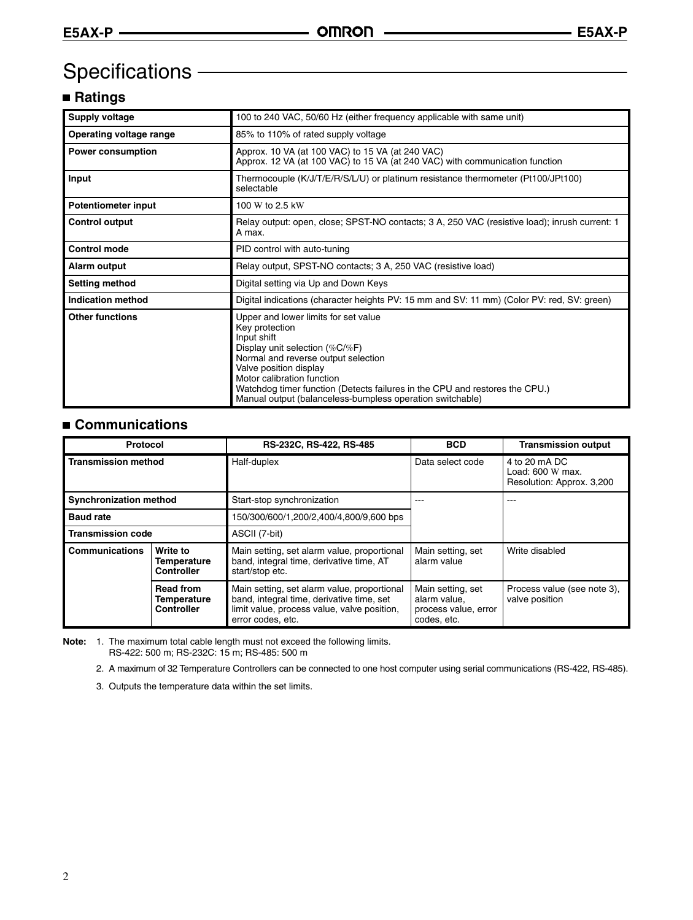## Specifications

## **Ratings**

| Supply voltage             | 100 to 240 VAC, 50/60 Hz (either frequency applicable with same unit)                                                                                                                                                                                                                                                                              |  |
|----------------------------|----------------------------------------------------------------------------------------------------------------------------------------------------------------------------------------------------------------------------------------------------------------------------------------------------------------------------------------------------|--|
| Operating voltage range    | 85% to 110% of rated supply voltage                                                                                                                                                                                                                                                                                                                |  |
| <b>Power consumption</b>   | Approx. 10 VA (at 100 VAC) to 15 VA (at 240 VAC)<br>Approx. 12 VA (at 100 VAC) to 15 VA (at 240 VAC) with communication function                                                                                                                                                                                                                   |  |
| Input                      | Thermocouple (K/J/T/E/R/S/L/U) or platinum resistance thermometer (Pt100/JPt100)<br>selectable                                                                                                                                                                                                                                                     |  |
| <b>Potentiometer input</b> | 100 W to 2.5 kW                                                                                                                                                                                                                                                                                                                                    |  |
| <b>Control output</b>      | Relay output: open, close; SPST-NO contacts; 3 A, 250 VAC (resistive load); inrush current: 1<br>A max.                                                                                                                                                                                                                                            |  |
| <b>Control mode</b>        | PID control with auto-tuning                                                                                                                                                                                                                                                                                                                       |  |
| Alarm output               | Relay output, SPST-NO contacts; 3 A, 250 VAC (resistive load)                                                                                                                                                                                                                                                                                      |  |
| Setting method             | Digital setting via Up and Down Keys                                                                                                                                                                                                                                                                                                               |  |
| <b>Indication method</b>   | Digital indications (character heights PV: 15 mm and SV: 11 mm) (Color PV: red, SV: green)                                                                                                                                                                                                                                                         |  |
| <b>Other functions</b>     | Upper and lower limits for set value<br>Key protection<br>Input shift<br>Display unit selection (%C/%F)<br>Normal and reverse output selection<br>Valve position display<br>Motor calibration function<br>Watchdog timer function (Detects failures in the CPU and restores the CPU.)<br>Manual output (balanceless-bumpless operation switchable) |  |

## **Communications**

| Protocol                                             |                                              | RS-232C, RS-422, RS-485                                                                                                                                      | BCD                                                                      | <b>Transmission output</b>                                     |  |
|------------------------------------------------------|----------------------------------------------|--------------------------------------------------------------------------------------------------------------------------------------------------------------|--------------------------------------------------------------------------|----------------------------------------------------------------|--|
| <b>Transmission method</b>                           |                                              | Half-duplex                                                                                                                                                  | Data select code                                                         | 4 to 20 mA DC<br>Load: 600 W max.<br>Resolution: Approx. 3,200 |  |
| <b>Synchronization method</b>                        |                                              | Start-stop synchronization                                                                                                                                   |                                                                          | ---                                                            |  |
| <b>Baud rate</b>                                     |                                              | 150/300/600/1,200/2,400/4,800/9,600 bps                                                                                                                      |                                                                          |                                                                |  |
| <b>Transmission code</b>                             |                                              | ASCII (7-bit)                                                                                                                                                |                                                                          |                                                                |  |
| <b>Communications</b>                                | Write to<br>Temperature<br><b>Controller</b> | Main setting, set alarm value, proportional<br>band, integral time, derivative time, AT<br>start/stop etc.                                                   | Main setting, set<br>alarm value                                         | Write disabled                                                 |  |
| <b>Read from</b><br>Temperature<br><b>Controller</b> |                                              | Main setting, set alarm value, proportional<br>band, integral time, derivative time, set<br>limit value, process value, valve position,<br>error codes, etc. | Main setting, set<br>alarm value,<br>process value, error<br>codes. etc. | Process value (see note 3),<br>valve position                  |  |

**Note:** 1. The maximum total cable length must not exceed the following limits. RS-422: 500 m; RS-232C: 15 m; RS-485: 500 m

2. A maximum of 32 Temperature Controllers can be connected to one host computer using serial communications (RS-422, RS-485).

3. Outputs the temperature data within the set limits.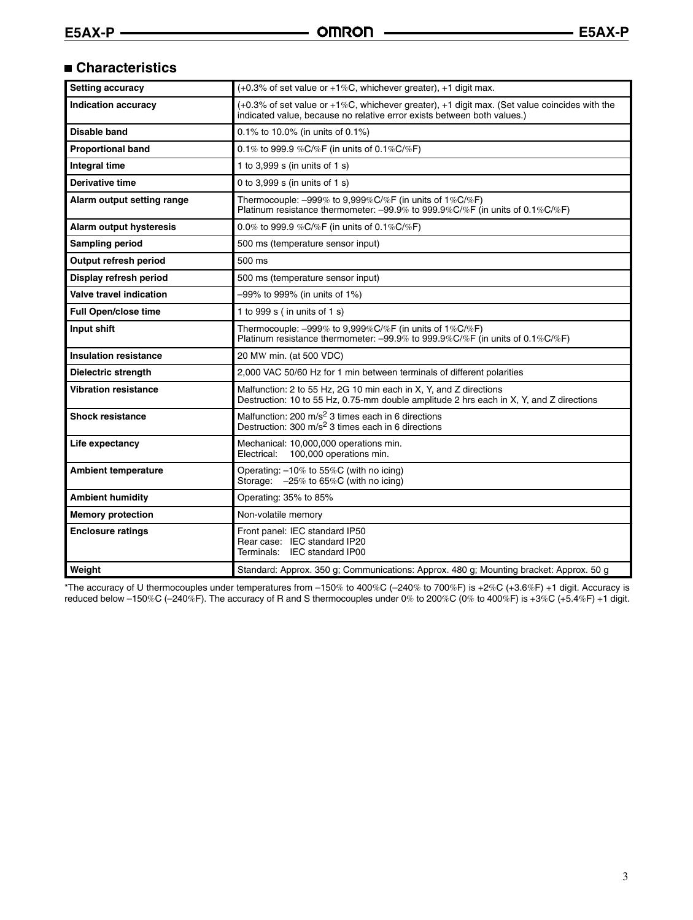## **Characteristics**

| <b>Setting accuracy</b>      | $(+0.3\%$ of set value or $+1\%$ C, whichever greater), $+1$ digit max.                                                                                                          |
|------------------------------|----------------------------------------------------------------------------------------------------------------------------------------------------------------------------------|
| <b>Indication accuracy</b>   | $(+0.3\%$ of set value or $+1\%$ C, whichever greater), $+1$ digit max. (Set value coincides with the<br>indicated value, because no relative error exists between both values.) |
| Disable band                 | 0.1% to 10.0% (in units of 0.1%)                                                                                                                                                 |
| <b>Proportional band</b>     | 0.1% to 999.9 %C/%F (in units of 0.1%C/%F)                                                                                                                                       |
| <b>Integral time</b>         | 1 to 3,999 s (in units of 1 s)                                                                                                                                                   |
| Derivative time              | 0 to 3,999 s (in units of 1 s)                                                                                                                                                   |
| Alarm output setting range   | Thermocouple: -999% to 9,999%C/%F (in units of 1%C/%F)<br>Platinum resistance thermometer: -99.9% to 999.9%C/%F (in units of 0.1%C/%F)                                           |
| Alarm output hysteresis      | 0.0% to 999.9 %C/%F (in units of 0.1%C/%F)                                                                                                                                       |
| <b>Sampling period</b>       | 500 ms (temperature sensor input)                                                                                                                                                |
| Output refresh period        | 500 ms                                                                                                                                                                           |
| Display refresh period       | 500 ms (temperature sensor input)                                                                                                                                                |
| Valve travel indication      | -99% to 999% (in units of 1%)                                                                                                                                                    |
| <b>Full Open/close time</b>  | 1 to 999 $s$ (in units of 1 $s$ )                                                                                                                                                |
| Input shift                  | Thermocouple: $-999\%$ to 9,999%C/%F (in units of 1%C/%F)<br>Platinum resistance thermometer: -99.9% to 999.9%C/%F (in units of 0.1%C/%F)                                        |
| <b>Insulation resistance</b> | 20 MW min. (at 500 VDC)                                                                                                                                                          |
| <b>Dielectric strength</b>   | 2,000 VAC 50/60 Hz for 1 min between terminals of different polarities                                                                                                           |
| <b>Vibration resistance</b>  | Malfunction: 2 to 55 Hz, 2G 10 min each in X, Y, and Z directions<br>Destruction: 10 to 55 Hz, 0.75-mm double amplitude 2 hrs each in X, Y, and Z directions                     |
| <b>Shock resistance</b>      | Malfunction: 200 m/s <sup>2</sup> 3 times each in 6 directions<br>Destruction: 300 m/s <sup>2</sup> 3 times each in 6 directions                                                 |
| Life expectancy              | Mechanical: 10,000,000 operations min.<br>100,000 operations min.<br>Electrical:                                                                                                 |
| <b>Ambient temperature</b>   | Operating: -10% to 55%C (with no icing)<br>Storage: -25% to 65%C (with no icing)                                                                                                 |
| <b>Ambient humidity</b>      | Operating: 35% to 85%                                                                                                                                                            |
| <b>Memory protection</b>     | Non-volatile memory                                                                                                                                                              |
| <b>Enclosure ratings</b>     | Front panel: IEC standard IP50<br>Rear case: IEC standard IP20<br>Terminals: IEC standard IP00                                                                                   |
| Weight                       | Standard: Approx. 350 g; Communications: Approx. 480 g; Mounting bracket: Approx. 50 g                                                                                           |

\*The accuracy of U thermocouples under temperatures from –150% to 400%C (–240% to 700%F) is +2%C (+3.6%F) +1 digit. Accuracy is reduced below –150%C (–240%F). The accuracy of R and S thermocouples under 0% to 200%C (0% to 400%F) is +3%C (+5.4%F) +1 digit.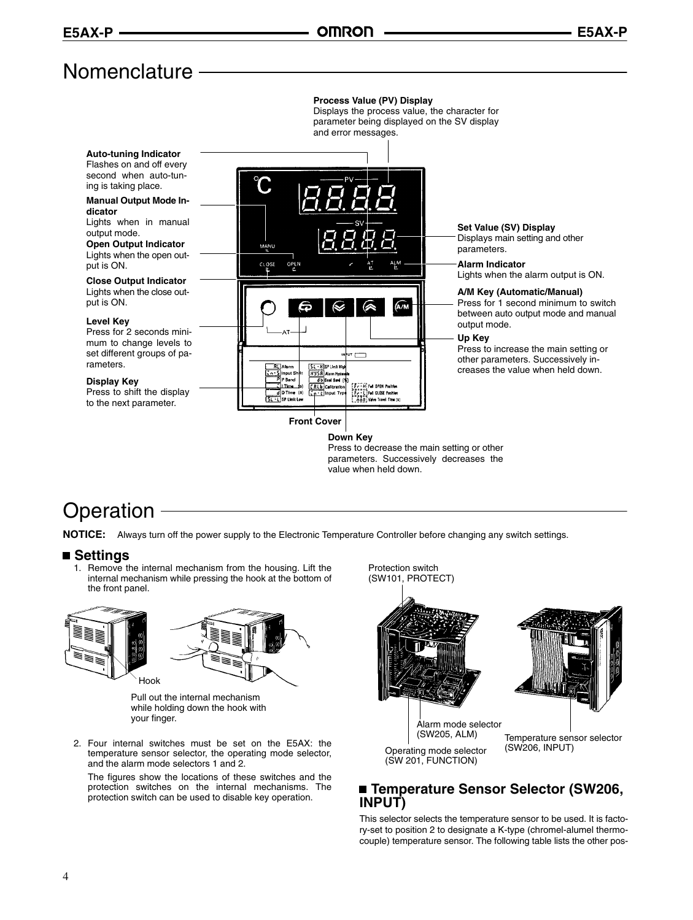**Process Value (PV) Display**

Displays the process value, the character for

## Nomenclature -

#### parameter being displayed on the SV display and error messages. **Auto-tuning Indicator** Flashes on and off every second when auto-tuning is taking place. **Manual Output Mode Indicator** Lights when in manual **Set Value (SV) Display** output mode. Displays main setting and other **Open Output Indicator** parameters. Lights when the open out-**Alarm Indicator** put is ON. CLOSI OPEI Lights when the alarm output is ON. **Close Output Indicator** Lights when the close out-**A/M Key (Automatic/Manual)** put is ON. Press for 1 second minimum to switch  $\widehat{\mathsf{An}}$ between auto output mode and manual **Level Key** output mode. Press for 2 seconds mini-**Up Key** mum to change levels to Press to increase the main setting or set different groups of pa- $\mathbf{u}$ other parameters. Successively inrameters.  $5: R$  SP Limit I creases the value when held down. **HYSA** Alarm Hy<br>
db Cent Ban **Display Key EXAMPLE OPEN Pastion<br>EXAMPLE CLOSE Pastion<br>EXAMPLE Valve Travel Time (s) CRLS** Press to shift the display B D Time (s) to the next parameter. **Front Cover Down Key** Press to decrease the main setting or other parameters. Successively decreases the

value when held down.

## **Operation**

**NOTICE:** Always turn off the power supply to the Electronic Temperature Controller before changing any switch settings.

### ■ Settings

1. Remove the internal mechanism from the housing. Lift the internal mechanism while pressing the hook at the bottom of the front panel.





Pull out the internal mechanism while holding down the hook with your finger.

2. Four internal switches must be set on the E5AX: the temperature sensor selector, the operating mode selector, and the alarm mode selectors 1 and 2.

The figures show the locations of these switches and the protection switches on the internal mechanisms. The protection switch can be used to disable key operation.

Protection switch (SW101, PROTECT) Operating mode selector (SW 201, FUNCTION) Alarm mode selector<br>(SW205, ALM) Temperature sensor selector (SW206, INPUT)

## **Temperature Sensor Selector (SW206, INPUT)**

This selector selects the temperature sensor to be used. It is factory-set to position 2 to designate a K-type (chromel-alumel thermocouple) temperature sensor. The following table lists the other pos-

4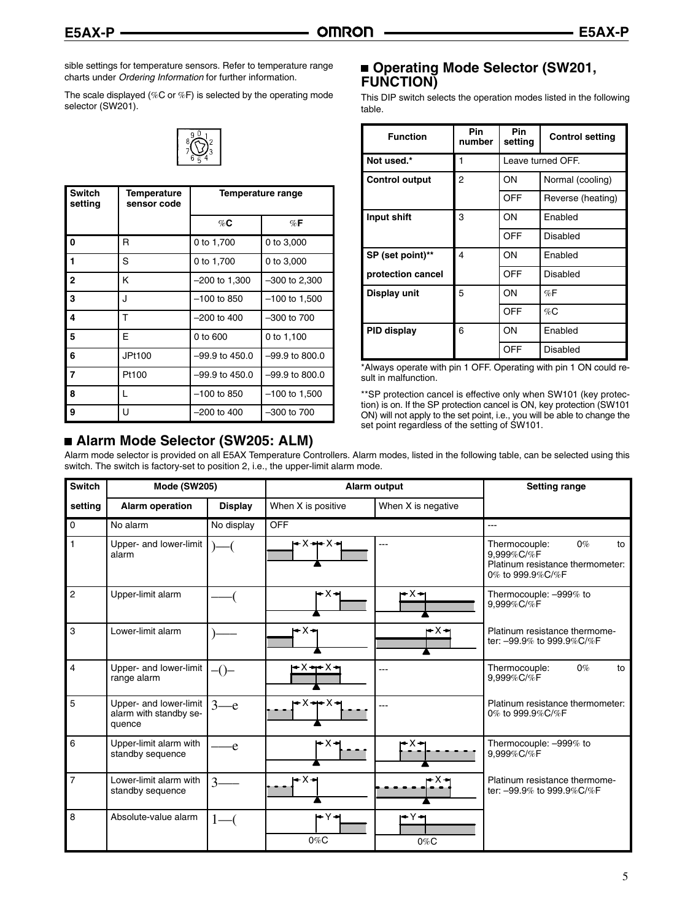sible settings for temperature sensors. Refer to temperature range charts under *Ordering Information* for further information.

The scale displayed (%C or %F) is selected by the operating mode selector (SW201).



| <b>Switch</b><br>setting | Temperature<br>sensor code | Temperature range |                  |
|--------------------------|----------------------------|-------------------|------------------|
|                          |                            | %C                | $\%$ F           |
| l 0                      | R                          | 0 to 1,700        | 0 to 3,000       |
| l 1                      | S                          | 0 to 1,700        | 0 to 3,000       |
| l 2                      | κ                          | $-200$ to 1,300   | $-300$ to 2,300  |
| l 3                      | J                          | $-100$ to 850     | $-100$ to 1,500  |
| $\overline{4}$           | Τ                          | $-200$ to 400     | $-300$ to $700$  |
| 5                        | F                          | 0 to 600          | 0 to 1,100       |
| l 6                      | JPt100                     | –99.9 to 450.0    | $-99.9$ to 800.0 |
| 7                        | Pt100                      | -99.9 to 450.0    | $-99.9$ to 800.0 |
| $\overline{\mathbf{8}}$  | L                          | $-100$ to 850     | $-100$ to 1,500  |
| 9                        | U                          | $-200$ to 400     | $-300$ to $700$  |

## **Alarm Mode Selector (SW205: ALM)**

## **Operating Mode Selector (SW201, FUNCTION)**

This DIP switch selects the operation modes listed in the following table.

| <b>Function</b>       | Pin<br>number | Pin<br>setting | <b>Control setting</b> |
|-----------------------|---------------|----------------|------------------------|
| Not used.*            | 1             |                | Leave turned OFF.      |
| <b>Control output</b> | 2             | ON             | Normal (cooling)       |
|                       |               | <b>OFF</b>     | Reverse (heating)      |
| Input shift           | 3             | ON             | Enabled                |
|                       |               | OFF            | Disabled               |
| SP (set point)**      | 4             | ON             | Enabled                |
| protection cancel     |               | OFF            | <b>Disabled</b>        |
| Display unit          | 5             | ON             | %F                     |
|                       |               | OFF            | %C                     |
| PID display           | 6             | ON             | Enabled                |
|                       |               | OFF            | <b>Disabled</b>        |

\*Always operate with pin 1 OFF. Operating with pin 1 ON could result in malfunction.

\*\*SP protection cancel is effective only when SW101 (key protection) is on. If the SP protection cancel is ON, key protection (SW101 ON) will not apply to the set point, i.e., you will be able to change the set point regardless of the setting of SW101.

Alarm mode selector is provided on all E5AX Temperature Controllers. Alarm modes, listed in the following table, can be selected using this switch. The switch is factory-set to position 2, i.e., the upper-limit alarm mode.

| <b>Switch</b>  | <b>Mode (SW205)</b>                                        |                | Alarm output          |                    | <b>Setting range</b>                                                                               |
|----------------|------------------------------------------------------------|----------------|-----------------------|--------------------|----------------------------------------------------------------------------------------------------|
| setting        | <b>Alarm operation</b>                                     | <b>Display</b> | When X is positive    | When X is negative |                                                                                                    |
| 0              | No alarm                                                   | No display     | <b>OFF</b>            |                    | $-$ - $-$                                                                                          |
| 1              | Upper- and lower-limit<br>alarm                            |                | ►×↔×→                 |                    | Thermocouple:<br>$0\%$<br>to<br>9.999%C/%F<br>Platinum resistance thermometer:<br>0% to 999.9%C/%F |
| $\overline{2}$ | Upper-limit alarm                                          |                | r×+                   | r•X→               | Thermocouple: -999% to<br>9,999%C/%F                                                               |
| 3              | Lower-limit alarm                                          |                | r×⊶                   | r×⊣                | Platinum resistance thermome-<br>ter: -99.9% to 999.9%C/%F                                         |
| 4              | Upper- and lower-limit<br>range alarm                      | $-()$          | $+ \times + \times +$ |                    | Thermocouple:<br>$0\%$<br>to<br>9,999%C/%F                                                         |
| 5              | Upper- and lower-limit<br>alarm with standby se-<br>quence | $3$ — $e$      | •x⊷x⊣                 |                    | Platinum resistance thermometer:<br>0% to 999.9%C/%F                                               |
| 6              | Upper-limit alarm with<br>standby sequence                 | e              | ⊷x⊷                   | -x⊷                | Thermocouple: -999% to<br>9,999%C/%F                                                               |
| $\overline{7}$ | Lower-limit alarm with<br>standby sequence                 | 3              | • x •                 | • x →              | Platinum resistance thermome-<br>ter: -99.9% to 999.9%C/%F                                         |
| 8              | Absolute-value alarm                                       |                | rY∗<br>$0\%C$         | ⇔Y→<br>$0\%C$      |                                                                                                    |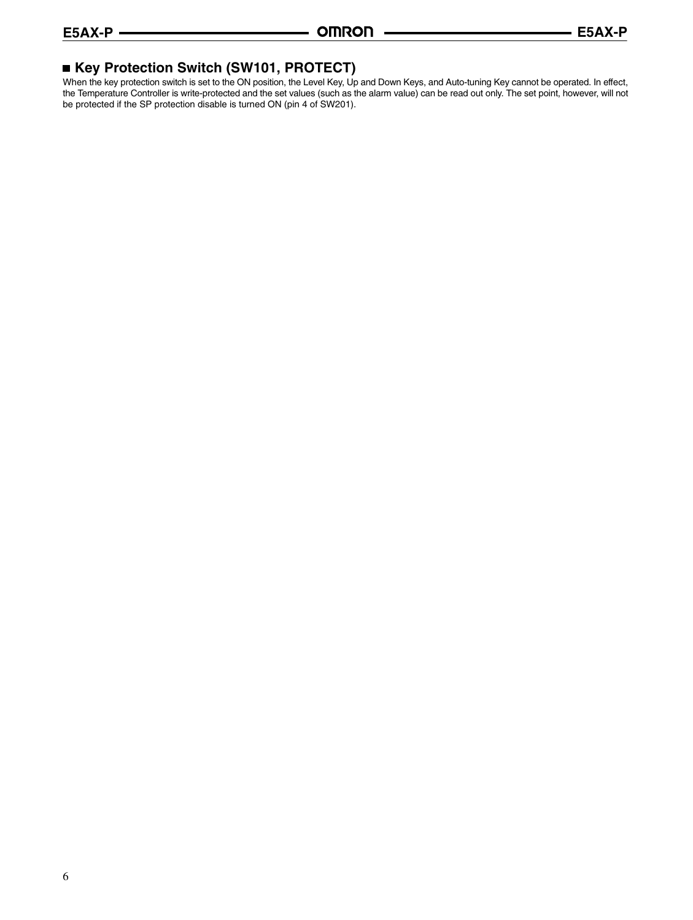## **Key Protection Switch (SW101, PROTECT)**

When the key protection switch is set to the ON position, the Level Key, Up and Down Keys, and Auto-tuning Key cannot be operated. In effect, the Temperature Controller is write-protected and the set values (such as the alarm value) can be read out only. The set point, however, will not be protected if the SP protection disable is turned ON (pin 4 of SW201).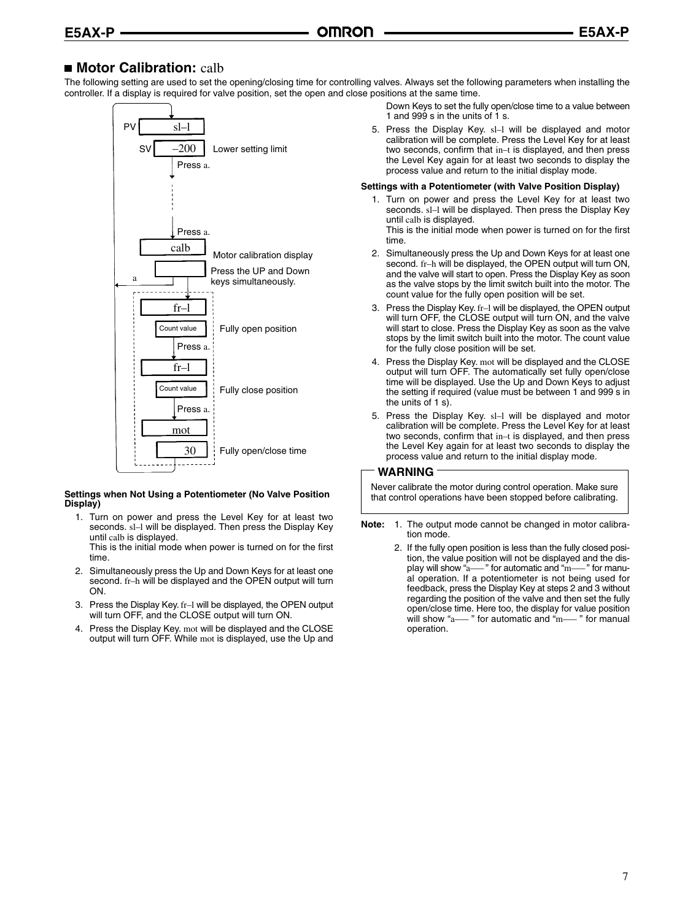## ■ Motor Calibration: calb

The following setting are used to set the opening/closing time for controlling valves. Always set the following parameters when installing the controller. If a display is required for valve position, set the open and close positions at the same time.



#### **Settings when Not Using a Potentiometer (No Valve Position Display)**

1. Turn on power and press the Level Key for at least two seconds. sl-l will be displayed. Then press the Display Key until calb is displayed.

This is the initial mode when power is turned on for the first time.

- 2. Simultaneously press the Up and Down Keys for at least one second. fr–h will be displayed and the OPEN output will turn ON.
- 3. Press the Display Key. fr–l will be displayed, the OPEN output will turn OFF, and the CLOSE output will turn ON.
- 4. Press the Display Key. mot will be displayed and the CLOSE output will turn OFF. While mot is displayed, use the Up and

Down Keys to set the fully open/close time to a value between 1 and 999 s in the units of 1 s.

5. Press the Display Key. sl–l will be displayed and motor calibration will be complete. Press the Level Key for at least two seconds, confirm that in–t is displayed, and then press the Level Key again for at least two seconds to display the process value and return to the initial display mode.

#### **Settings with a Potentiometer (with Valve Position Display)**

1. Turn on power and press the Level Key for at least two seconds. sl–l will be displayed. Then press the Display Key until calb is displayed.

This is the initial mode when power is turned on for the first time.

- 2. Simultaneously press the Up and Down Keys for at least one second. fr–h will be displayed, the OPEN output will turn ON, and the valve will start to open. Press the Display Key as soon as the valve stops by the limit switch built into the motor. The count value for the fully open position will be set.
- 3. Press the Display Key. fr–l will be displayed, the OPEN output will turn OFF, the CLOSE output will turn ON, and the valve will start to close. Press the Display Key as soon as the valve stops by the limit switch built into the motor. The count value for the fully close position will be set.
- 4. Press the Display Key. mot will be displayed and the CLOSE output will turn OFF. The automatically set fully open/close time will be displayed. Use the Up and Down Keys to adjust the setting if required (value must be between 1 and 999 s in the units of 1 s).
- 5. Press the Display Key. sl–l will be displayed and motor calibration will be complete. Press the Level Key for at least two seconds, confirm that in–t is displayed, and then press the Level Key again for at least two seconds to display the process value and return to the initial display mode.

#### **WARNING**

Never calibrate the motor during control operation. Make sure that control operations have been stopped before calibrating.

- **Note:** 1. The output mode cannot be changed in motor calibration mode.
	- 2. If the fully open position is less than the fully closed position, the value position will not be displayed and the display will show "a--" for automatic and "m--" for manual operation. If a potentiometer is not being used for feedback, press the Display Key at steps 2 and 3 without regarding the position of the valve and then set the fully open/close time. Here too, the display for value position will show "a--- " for automatic and "m--- " for manual operation.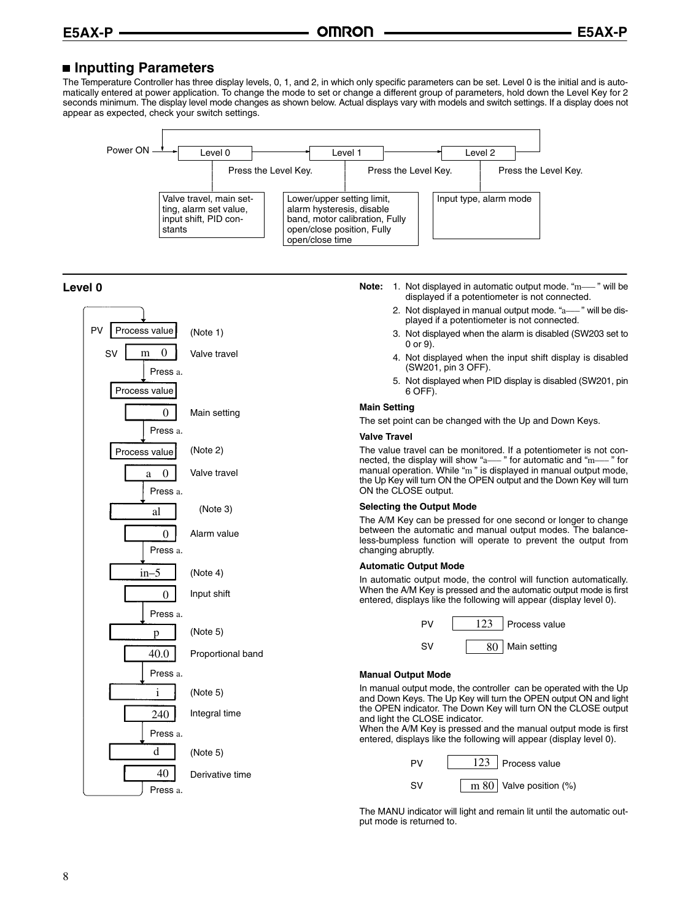### **Inputting Parameters**

The Temperature Controller has three display levels, 0, 1, and 2, in which only specific parameters can be set. Level 0 is the initial and is automatically entered at power application. To change the mode to set or change a different group of parameters, hold down the Level Key for 2 seconds minimum. The display level mode changes as shown below. Actual displays vary with models and switch settings. If a display does not appear as expected, check your switch settings.





The MANU indicator will light and remain lit until the automatic output mode is returned to.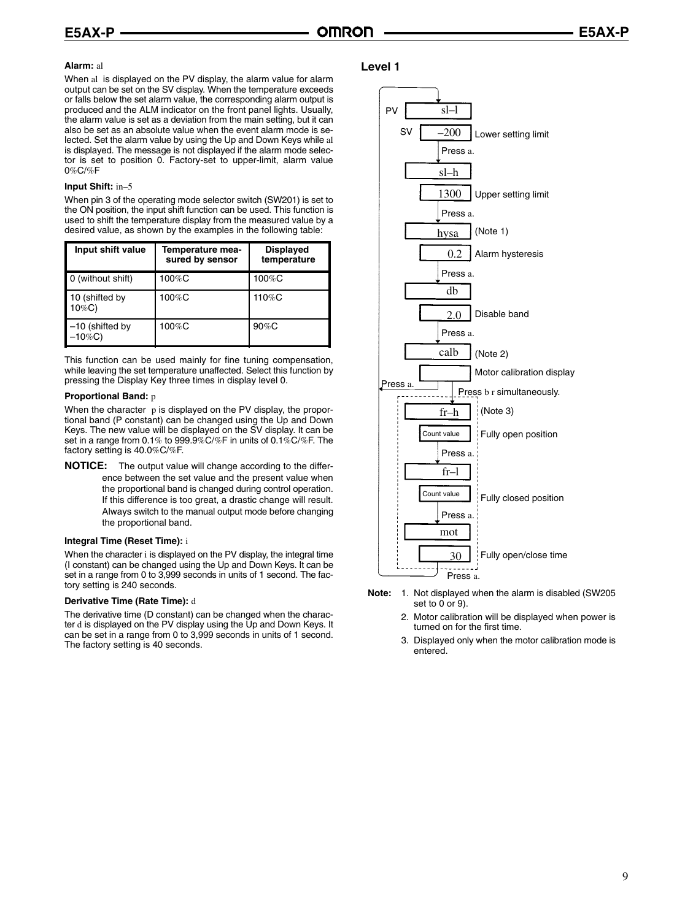#### **Alarm:** al

When al is displayed on the PV display, the alarm value for alarm output can be set on the SV display. When the temperature exceeds or falls below the set alarm value, the corresponding alarm output is produced and the ALM indicator on the front panel lights. Usually, the alarm value is set as a deviation from the main setting, but it can also be set as an absolute value when the event alarm mode is selected. Set the alarm value by using the Up and Down Keys while al is displayed. The message is not displayed if the alarm mode selector is set to position 0. Factory-set to upper-limit, alarm value 0%C/%F

#### **Input Shift:** in–5

When pin 3 of the operating mode selector switch (SW201) is set to the ON position, the input shift function can be used. This function is used to shift the temperature display from the measured value by a desired value, as shown by the examples in the following table:

| Input shift value               | Temperature mea-<br>sured by sensor | <b>Displayed</b><br>temperature |
|---------------------------------|-------------------------------------|---------------------------------|
| 0 (without shift)               | $100\%$ C                           | 100%C                           |
| 10 (shifted by<br>$10\%C$ )     | $100\%$ C                           | 110%C                           |
| $-10$ (shifted by<br>$-10\%$ C) | 100%C                               | $90\%$ C                        |

This function can be used mainly for fine tuning compensation, while leaving the set temperature unaffected. Select this function by pressing the Display Key three times in display level 0.

#### **Proportional Band:** p

When the character p is displayed on the PV display, the proportional band (P constant) can be changed using the Up and Down Keys. The new value will be displayed on the SV display. It can be set in a range from 0.1% to 999.9%C/%F in units of 0.1%C/%F. The factory setting is 40.0%C/%F.

**NOTICE:** The output value will change according to the difference between the set value and the present value when the proportional band is changed during control operation. If this difference is too great, a drastic change will result. Always switch to the manual output mode before changing the proportional band.

#### **Integral Time (Reset Time):** i

When the character i is displayed on the PV display, the integral time (I constant) can be changed using the Up and Down Keys. It can be set in a range from 0 to 3,999 seconds in units of 1 second. The factory setting is 240 seconds.

#### **Derivative Time (Rate Time):** d

The derivative time (D constant) can be changed when the character d is displayed on the PV display using the Up and Down Keys. It can be set in a range from 0 to 3,999 seconds in units of 1 second. The factory setting is 40 seconds.

#### **Level 1**



- **Note:** 1. Not displayed when the alarm is disabled (SW205 set to 0 or 9).
	- 2. Motor calibration will be displayed when power is turned on for the first time.
	- 3. Displayed only when the motor calibration mode is entered.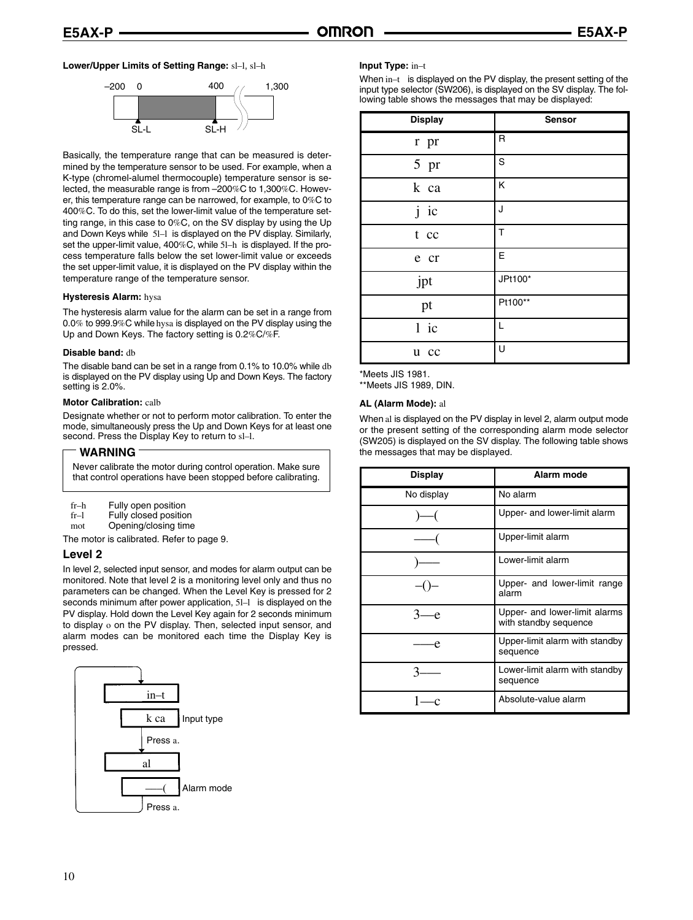#### **Lower/Upper Limits of Setting Range:** sl–l, sl–h



Basically, the temperature range that can be measured is determined by the temperature sensor to be used. For example, when a K-type (chromel-alumel thermocouple) temperature sensor is selected, the measurable range is from –200%C to 1,300%C. However, this temperature range can be narrowed, for example, to 0%C to 400%C. To do this, set the lower-limit value of the temperature setting range, in this case to 0%C, on the SV display by using the Up and Down Keys while 5l–l is displayed on the PV display. Similarly, set the upper-limit value, 400%C, while 5l–h is displayed. If the process temperature falls below the set lower-limit value or exceeds the set upper-limit value, it is displayed on the PV display within the temperature range of the temperature sensor.

#### **Hysteresis Alarm:** hysa

The hysteresis alarm value for the alarm can be set in a range from 0.0% to 999.9%C while hysa is displayed on the PV display using the Up and Down Keys. The factory setting is 0.2%C/%F.

#### **Disable band:** db

The disable band can be set in a range from 0.1% to 10.0% while db is displayed on the PV display using Up and Down Keys. The factory setting is 2.0%.

#### **Motor Calibration:** calb

Designate whether or not to perform motor calibration. To enter the mode, simultaneously press the Up and Down Keys for at least one second. Press the Display Key to return to sl–l.

#### **WARNING**

Never calibrate the motor during control operation. Make sure that control operations have been stopped before calibrating.

| fr–h |  |  | Fully open position |
|------|--|--|---------------------|
|------|--|--|---------------------|

fr-1 Fully closed position

mot Opening/closing time

The motor is calibrated. Refer to page 9.

#### **Level 2**

In level 2, selected input sensor, and modes for alarm output can be monitored. Note that level 2 is a monitoring level only and thus no parameters can be changed. When the Level Key is pressed for 2 seconds minimum after power application, 51-1 is displayed on the PV display. Hold down the Level Key again for 2 seconds minimum to display o on the PV display. Then, selected input sensor, and alarm modes can be monitored each time the Display Key is pressed.



#### **Input Type:** in–t

When in–t is displayed on the PV display, the present setting of the input type selector (SW206), is displayed on the SV display. The following table shows the messages that may be displayed:

| <b>Display</b> | Sensor  |
|----------------|---------|
| r pr           | R       |
| 5 pr           | S       |
| k ca           | Κ       |
| ic<br>j        | J       |
| t cc           | T       |
| e cr           | Е       |
| jpt            | JPt100* |
| pt             | Pt100** |
| $1$ ic         | L       |
| u cc           | U       |

\*Meets JIS 1981.

\*\*Meets JIS 1989, DIN.

#### **AL (Alarm Mode):** al

When al is displayed on the PV display in level 2, alarm output mode or the present setting of the corresponding alarm mode selector (SW205) is displayed on the SV display. The following table shows the messages that may be displayed.

| Display    | Alarm mode                                             |  |  |
|------------|--------------------------------------------------------|--|--|
| No display | No alarm                                               |  |  |
|            | Upper- and lower-limit alarm                           |  |  |
|            | Upper-limit alarm                                      |  |  |
|            | Lower-limit alarm                                      |  |  |
|            | Upper- and lower-limit range<br>alarm                  |  |  |
| — e        | Upper- and lower-limit alarms<br>with standby sequence |  |  |
|            | Upper-limit alarm with standby<br>sequence             |  |  |
|            | Lower-limit alarm with standby<br>sequence             |  |  |
|            | Absolute-value alarm                                   |  |  |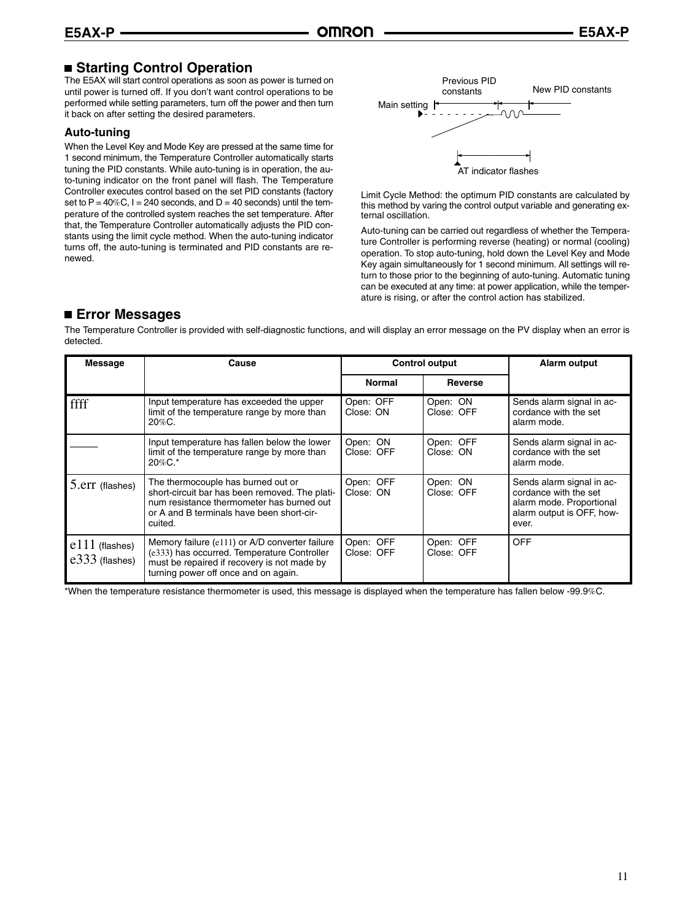## **Starting Control Operation**

The E5AX will start control operations as soon as power is turned on until power is turned off. If you don't want control operations to be performed while setting parameters, turn off the power and then turn it back on after setting the desired parameters.

### **Auto-tuning**

When the Level Key and Mode Key are pressed at the same time for 1 second minimum, the Temperature Controller automatically starts tuning the PID constants. While auto-tuning is in operation, the auto-tuning indicator on the front panel will flash. The Temperature Controller executes control based on the set PID constants (factory set to  $P = 40\%C$ ,  $I = 240$  seconds, and  $D = 40$  seconds) until the temperature of the controlled system reaches the set temperature. After that, the Temperature Controller automatically adjusts the PID constants using the limit cycle method. When the auto-tuning indicator turns off, the auto-tuning is terminated and PID constants are renewed.



Limit Cycle Method: the optimum PID constants are calculated by this method by varing the control output variable and generating external oscillation.

Auto-tuning can be carried out regardless of whether the Temperature Controller is performing reverse (heating) or normal (cooling) operation. To stop auto-tuning, hold down the Level Key and Mode Key again simultaneously for 1 second minimum. All settings will return to those prior to the beginning of auto-tuning. Automatic tuning can be executed at any time: at power application, while the temperature is rising, or after the control action has stabilized.

## **Error Messages**

The Temperature Controller is provided with self-diagnostic functions, and will display an error message on the PV display when an error is detected.

| Message                              | Cause                                                                                                                                                                                     | <b>Control output</b>   |                         | Alarm output                                                                                                         |
|--------------------------------------|-------------------------------------------------------------------------------------------------------------------------------------------------------------------------------------------|-------------------------|-------------------------|----------------------------------------------------------------------------------------------------------------------|
|                                      |                                                                                                                                                                                           | Normal                  | Reverse                 |                                                                                                                      |
| ffff                                 | Input temperature has exceeded the upper<br>limit of the temperature range by more than<br>$20\%$ C.                                                                                      | Open: OFF<br>Close: ON  | Open: ON<br>Close: OFF  | Sends alarm signal in ac-<br>cordance with the set<br>alarm mode.                                                    |
|                                      | Input temperature has fallen below the lower<br>limit of the temperature range by more than<br>20%C.*                                                                                     | Open: ON<br>Close: OFF  | Open: OFF<br>Close: ON  | Sends alarm signal in ac-<br>cordance with the set<br>alarm mode.                                                    |
| 5.err (flashes)                      | The thermocouple has burned out or<br>short-circuit bar has been removed. The plati-<br>num resistance thermometer has burned out<br>or A and B terminals have been short-cir-<br>cuited. | Open: OFF<br>Close: ON  | Open: ON<br>Close: OFF  | Sends alarm signal in ac-<br>cordance with the set<br>alarm mode. Proportional<br>alarm output is OFF, how-<br>ever. |
| $e111$ (flashes)<br>$e333$ (flashes) | Memory failure (e111) or A/D converter failure<br>(e333) has occurred. Temperature Controller<br>must be repaired if recovery is not made by<br>turning power off once and on again.      | Open: OFF<br>Close: OFF | Open: OFF<br>Close: OFF | <b>OFF</b>                                                                                                           |

\*When the temperature resistance thermometer is used, this message is displayed when the temperature has fallen below -99.9%C.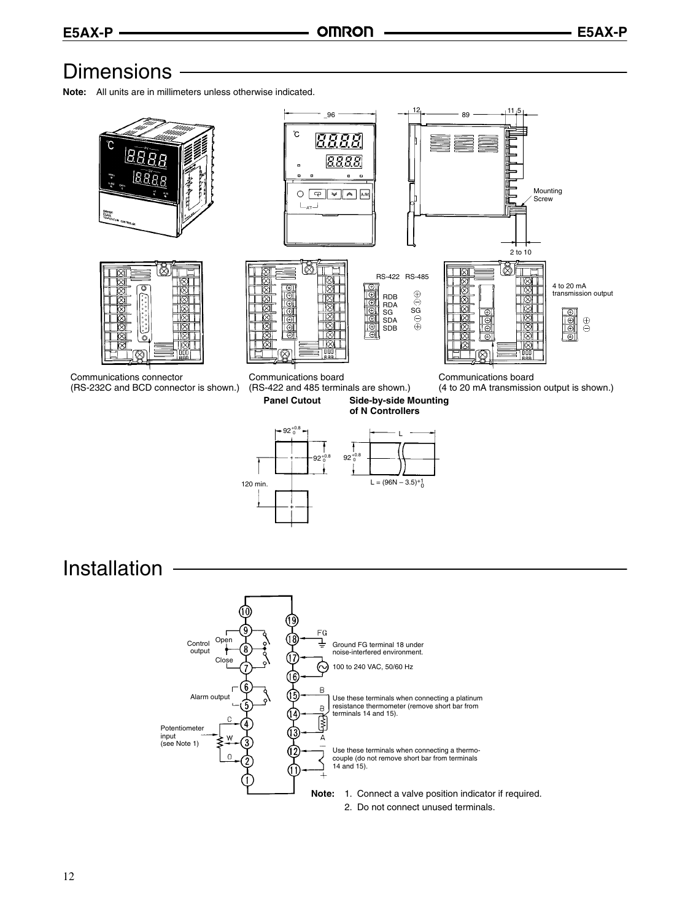## **Dimensions**

**Note:** All units are in millimeters unless otherwise indicated.

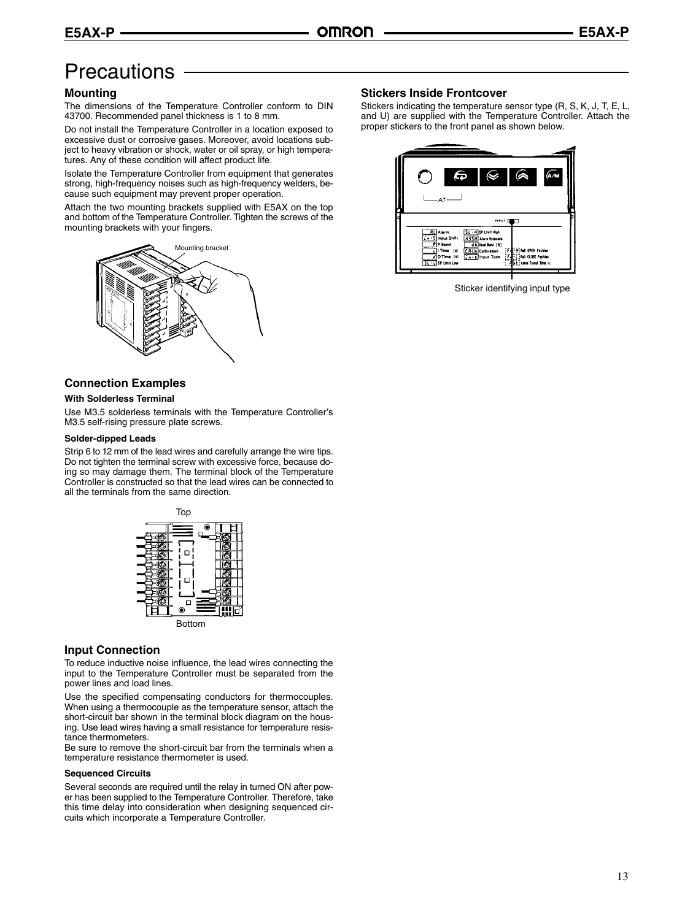## **Precautions**

### **Mounting**

The dimensions of the Temperature Controller conform to DIN 43700. Recommended panel thickness is 1 to 8 mm.

Do not install the Temperature Controller in a location exposed to excessive dust or corrosive gases. Moreover, avoid locations subject to heavy vibration or shock, water or oil spray, or high temperatures. Any of these condition will affect product life.

Isolate the Temperature Controller from equipment that generates strong, high-frequency noises such as high-frequency welders, because such equipment may prevent proper operation.

Attach the two mounting brackets supplied with E5AX on the top and bottom of the Temperature Controller. Tighten the screws of the mounting brackets with your fingers.



### **Connection Examples**

#### **With Solderless Terminal**

Use M3.5 solderless terminals with the Temperature Controller's M3.5 self-rising pressure plate screws.

#### **Solder-dipped Leads**

Strip 6 to 12 mm of the lead wires and carefully arrange the wire tips. Do not tighten the terminal screw with excessive force, because doing so may damage them. The terminal block of the Temperature Controller is constructed so that the lead wires can be connected to all the terminals from the same direction.



#### **Input Connection**

To reduce inductive noise influence, the lead wires connecting the input to the Temperature Controller must be separated from the power lines and load lines.

Use the specified compensating conductors for thermocouples. When using a thermocouple as the temperature sensor, attach the short-circuit bar shown in the terminal block diagram on the housing. Use lead wires having a small resistance for temperature resistance thermometers.

Be sure to remove the short-circuit bar from the terminals when a temperature resistance thermometer is used.

#### **Sequenced Circuits**

Several seconds are required until the relay in turned ON after power has been supplied to the Temperature Controller. Therefore, take this time delay into consideration when designing sequenced circuits which incorporate a Temperature Controller.

### **Stickers Inside Frontcover**

Stickers indicating the temperature sensor type (R, S, K, J, T, E, L, and U) are supplied with the Temperature Controller. Attach the proper stickers to the front panel as shown below.



Sticker identifying input type